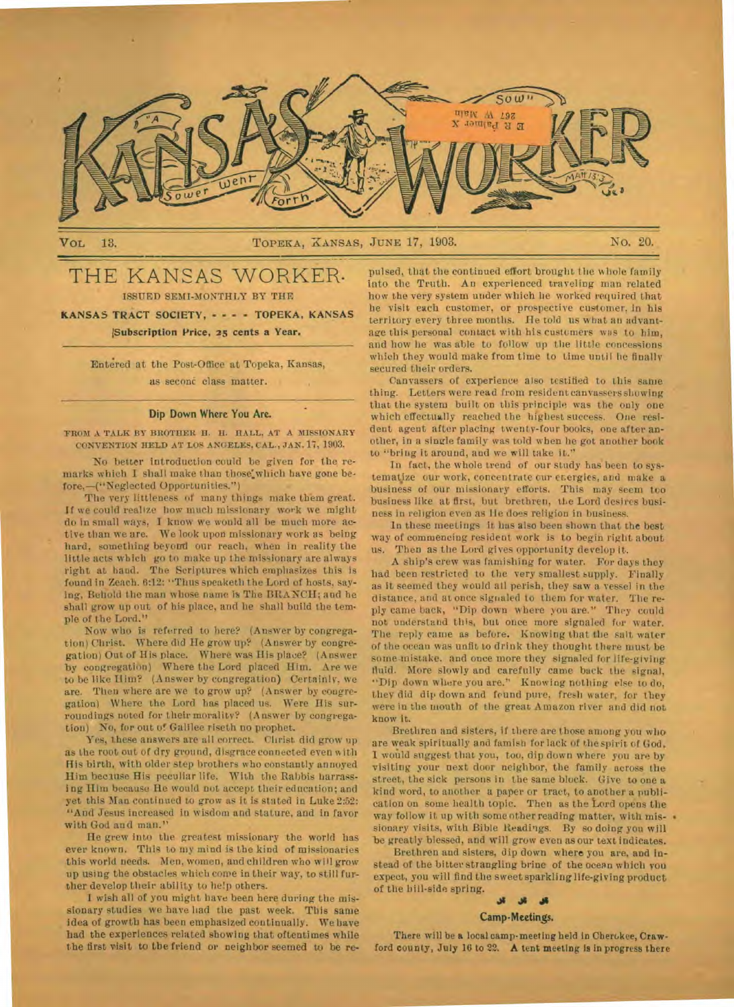

VOL 13. No. 20. TOPEKA, XANSAS, JUNE 17, 1903. No. 20.

# THE KANSAS WORKER. ISSUED SEMI-MONTHLY BY THE

**KANSAS TRACT SOCIETY, - - — TOPEKA, KANSAS !Subscription Price, 25 cents a Year.** 

Entered at the Post-Office at Topeka, Kansas, as second class matter.

#### **Dip Down Where You Are.**

**FROM A TALK BY BROTHER H. H. HALL, AT A MISSIONARY CONVENTION HELD AT LOS ANGELES. CAL., JAN.** *n,* 1903.

No better introduction could be given for the remarks which I shall make than those' which have gone before, —(" Neglected Opportunities.")

The very littleness of many things make them great. If we could realize how much missionary work we might do in small ways, I know we would all be much more active than we are. We look upon missionary work as being hard, something beyond our reach, when in reality the little acts which go to make up the missionary are always right at hand. The Scriptures which emphasizes this is found in Zeach. 6:12: "Thus speaketh the Lord of hosts, saying, Behold the man whose name is The BRANCH; and he shall grow up out of his place, and he shall build the temple of the Lord."

Now who is referred to here? (Answer by congregation) Christ. Where did He grow up? (Answer by congregation) Out of His place. Where was His place? (Answer by congregation) Where the Lord placed Him. Are we to be like Him? (Answer by congregation) Certainly, we are. Then where are we to grow up? (Answer by congregation) Where the Lord has placed us. Were His surroundings noted for their morality? (Answer by congregation) No, for out of Galilee riseth no prophet.

Yes, these answers are all correct. Christ did grow up as the root out of dry ground, disgrace connected even with His birth, with older step brothers who constantly annoyed Him because His peculiar life. With the Rabbis harrassi ng Him because He would not accept their education; and yet this Man continued to grow as it is stated in Luke 2:52: "And Jesus increased in wisdom and stature, and in favor with God and man."

He grew into the greatest missionary the world has ever known. This to my mind is the kind of missionaries this world needs. Men, women, and children who will grow up using the obstacles which come in their way, to still further develop their ability to help others.

I wish all of you might have been here during the missionary studies we have had the past week. This same idea of growth has been emphasized continually. We have had the experiences related showing that oftentimes while the first visit to the friend or neighbor seemed to be re-

pulsed, that the continued effort brought the whole family into the Truth. An experienced traveling man related how the very system under which lie worked required that he visit each customer, or prospective customer, in his territory every three months. He told us what an advantage this personal contact with his customers was to him, and how he was able to follow up the little concessions which they would make from time to time until he finally secured their orders.

Canvassers of experience also testified to this same thing. Letters were read from resident canvassers showing that the system built on this principle was the only one which effectually reached the highest success. One resident agent after placing twenty-four books, one after another, in a single family was told when he got another book to "bring it around, and we will take it."

In fact, the whole trend of our study has been to systematize our work, concentrate our energies, and make a business of our missionary efforts. This may seem too business like at first, but brethren, the Lord desires business in religion even as Ile does religion in business.

In these meetings it has also been shown that the best way of commencing resident work is to begin right about us. Then as the Lord gives opportunity develop it.

A ship's crew was famishing for water. For days they had been restricted to the very smallest supply. Finally as it seemed they would all perish, they saw a vessel in the distance, and at once signaled to them for water. The reply came back, "Dip down where you are." They could not understand this, but once more signaled for water. The reply came as before. Knowing that the salt water of the ocean was unfit to drink they thought there must be some mistake. and once more they signaled for lire-giving fluid. More slowly and carefully came back the signal, -Dip down where you are." Knowing nothing else to do, they did dip down and found pure, fresh water, for they were in the mouth of the great Amazon river and did not know it.

Brethren and sisters, if there are those among you who are weak spiritually and famish for lack of the spirit of God, **1** would suggest that you, too, dip down where you are by visiting your next door neighbor, the family across the street, the sick persons in the same block. Give to one a kind word, to another a paper or tract, to another a publication on some health topic. Then as the Lord opens the way follow it up with some other reading matter, with missionary visits, with Bible Readings. By so doing you will be greatly blessed, and will grow even as our text indicates.

Brethren and sisters, dip down where you are, and instead of the bitter strangling brine of the ocean which you expect, you will find the sweet sparkling life-giving product of the hill-side spring.

#### *411*

#### **Camp-Meetings.**

There will be a local camp- meeting held in Cherokee, **Crawford** county, July 16 to 22. **A** tent meeting is in progress there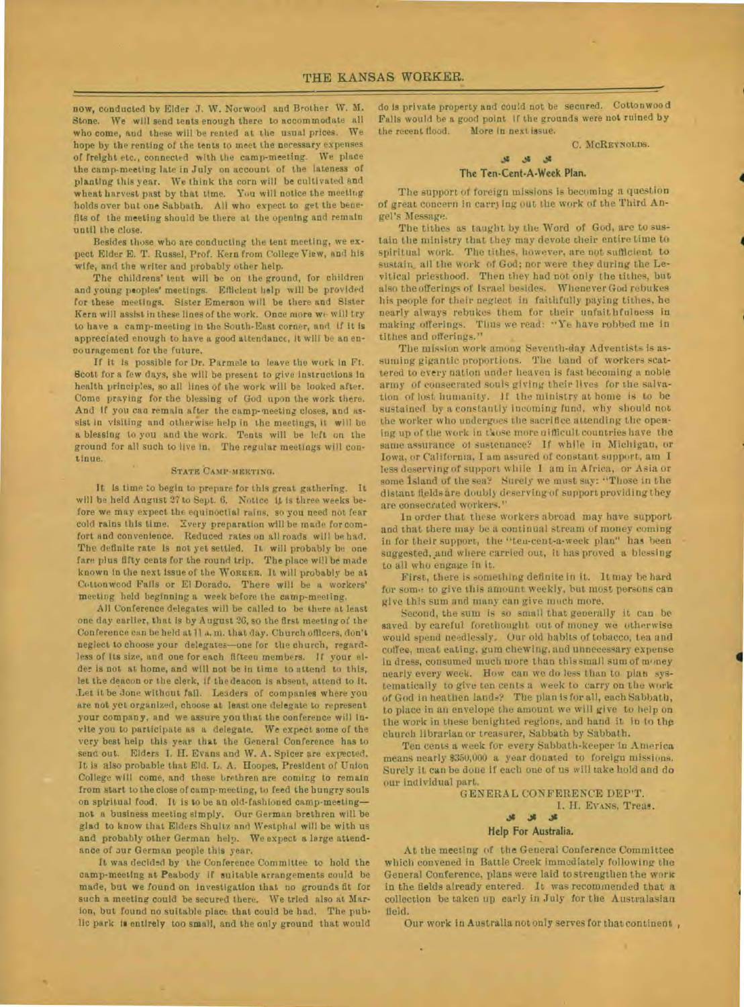now, conducted by Elder J. W. Norwood and Brother W. M. Stone. We will send teats enough there to accommodate all who come, and these will be rented at the usual prices. We hope by the renting of the tents to meet the necessary expenses of freight etc., connected with the camp-meeting. We place the camp-meeting late in July on account of the lateness of planting this year. We think the corn will be cultivated and wheat harvest past by that time. You will notice the meeting holds over but one Sabbath. All who expect to get the benefits of the meeting should be there at the opening and remain until the close.

Besides those who are conducting the tent meeting, we expect Elder E. T. Russel, Prof. Kern from College View, and his wife, and the writer and probably other help.

The childrens' tent will be on the ground, for children and young peoples' meetings. Efficient help will be provided for these meetings. Sister Emerson will be there and Sister Kern will assist in these lines of the work. Once more we will try to have a camp-meeting in the South-East corner, and If it is appreciated enough to have a good attendance, it will be an encouragement for the future.

If it is possible for Dr. Parmele to leave the work In Ft. Scott for a few days, she will be present to give Instructions in health principles, so all lines of the work will be looked after. Come praying for the blessing of God upon the work there. And if you can remain after the camp-meeting closes, and assist in visiting and otherwise help in the meetings, It will be a blessing to you and the work. Tents will be left on the ground for all such to live in. The regular meetings will continue.

#### STATE CAMP-MEETING.

It Is time to begin to prepare for this great gathering. It will be held August 27 to Sept. 6. Notice it is three weeks before we may expect the equinoctial rains, so you need not fear cold rains this time. Every preparation will be made for comfort and convenience. Reduced rates on all roads will be had. The definite rate is not yet settled. It will probably be one fare plus fifty cents for the round trip. The place will be made known in the next Issue of the WORKER. It will probably be at Cottonwood Falls or El Dorado. There will be a workers' meeting held beginning a week before the camp-meeting.

All Conference delegates will be called to be there at least one day earlier, that is by August 26, so the first meeting of the Con ference can be held at II a. m. that day. Church officers, don't neglect to choose your delegates—one for the church, regardless of its size, and one for each fifteen members. If your elder is not at home, and will not be in time to attend to this, let the deacon or the clerk, if the deacon is absent, attend to it. .Let it be done without fall. Leaders of companies where you are not yet organized, choose at least one delegate to represent your company, and we assure you that the conference will invite you to participate as a delegate. We expect some of the very best help this year that the General Conference has to send out. Elders I. H. Evans and W. A. Spicer are expected. It is also probable that Eld. L. A. Hoopes, President of Union College will come, and these brethren are coming to remain from start to the close of camp-meeting, to feed the hungry souls on spiritual food. It is to be an old-fashioned camp•meeting not a business meeting simply. Our German brethren will be glad to know that Elders Shultz and Westphal will be with us and probably other German help. We expect a large attendance of our German people this year.

It was decided by the Conference Committee to hold the camp-meeting at Peabody if suitable arrangements could be made, but we found on investigation that no grounds fit for such a meeting could be secured there. We tried also at Marion, but found no suitable place that could be had. The public park le entirely too small, and the only ground that would

do is private property and could not be secured. Cottonwood Falls would be a good point if the grounds were not ruined by the recent flood. More in next issue.

#### C. MCREYNOLDS.

.4

#### The Ten-Cent-A-Week Plan.

The support of foreign missions is becoming a question of great concern in carry ing out the work of the Third Angel's Message.

The tithes as taught by the Word of God, are to sustain the ministry that they may devote their entire time to spiritual work. The tithes, however, are not sufficient to sustain, all the work of God; nor were they during the Levitical priesthood. Then they had not only the tithes, but also the offerings of Israel besides. Whenever God rebukes his people for their neglect in faithfully paying tithes, he nearly always rebukes them for their unfaithfulness in making offerings. Thus we read: "Ye have robbed me in tithes and offerings."

The mission work among Seventh-day Adventists is assuming gigantic proportions. The band of workers scattered to every nation under heaven is fast becoming a noble army of consecrated souls giving their lives for the salvation of lost humanity. if the ministry at home is to be sustained by a constantly incoming fund, why should not the worker who undergoes the sacrifice attending the opening up of the work in those more aifficult countries have the same assurance of sustenance? If while in Michigan, or Iowa. or California, I am assured of constant support, am I less deserving of support while I am in Africa, or Asia or some Island of the sea? Surely we must say: "Those in the distant fields are doubly deserving of support providing they are consecrated workers."

in order that these workers abroad may have support and that there may be a continual stream of money coming in for their support, the "ten-cent-a-week plan" has been suggested, and where carried out, it has proved a blessing to all who engage in it.

First, there is something definite in it. It may be hard for some to give this amount weekly, but most persons can give this sum and many can give much more.

Second, the sum is so small that generally it can be saved by careful forethought out of money we otherwise would spend needlessly. Our old habits of tobacco, tea and Coffee, meat eating. gum chewing. and unnecessary expense in dress, consumed much more than this small sum of money nearly every week. How can we do less than to plan systematically to give ten cents a week to carry on the work of God in heathen lands? The plan is for all, each Sabbath, to place in an envelope the amount we will give to help on the work in these benighted regions, and hand it in to the church librarian or treasurer, Sabbath by Sabbath.

Ten cents a week for every Sabbath-keeper in America means nearly \$350,000 a year donated to foreign missions. Surely it can he done if each one of us will take hold and do our individual part.

#### GENERAL CONFERENCE DEP'T. I. H. EVANS, Treas. **Jg**

# Help For Australia.

At the meeting of the General Conference Committee which convened in Battle Creek immediately following the General Conference, plans were laid to strengthen the work in the fields already entered. It was recommended that a collection be taken up early in July for the Australasian field.

Our work in Australia not only serves for that continent ,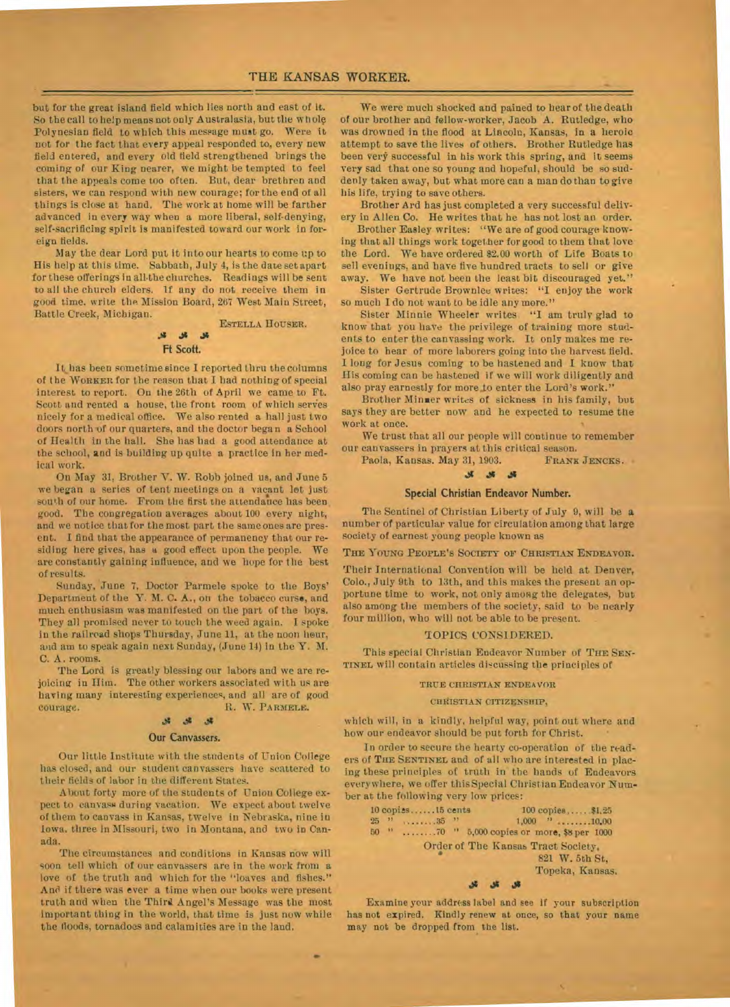## **THE KANSAS WORKER.**

but for the great island field which lies north and east of it. So the call to help means not only Australasia, but the whole Polynesian field to which this message must go. Were it not for the fact that every appeal responded to, every new field entered, and every old field strengthened brings the coming of our King nearer, we might be tempted to feel that the appeals come too often. But, dear brethren and sisters, we can respond with new courage; for the end of all things is close at hand. The work at home will be farther advanced in every way when a more liberal, self-denying, self-sacrificing spirit is manifested toward our work in foreign fields.

May the dear Lord put it into our hearts to come up to His help at this time. Sabbath, July 4, is the date set apart for these offerings in all.the churches. Readings will be sent to all the church elders, if any do not receive them in good time, write the Mission Board, 267 West Main Street, Battle Creek, Michigan.

# ESTELLA HOUSER.  $\overline{\mathcal{S}}$

### **Ft Scott.**

It has been sometime since I reported thru the columns of the WORKER for the reason that I bad nothing of special interest to report. On the 26th of April we came to Ft. Scott and rented a house, the front room of which serves nicely for a medical office. We also rented a hall just two doors north of our quarters, and the doctor began a School of Health in the hall. She has bad a good attendance at the school, and is building up quite a practice in her medical work.

On May 31, Brother Y. W. Robb joined us, and June 5 we began a series of tent meetings on a vacant let just south of our home. From the first the attendance has been good. The congregation averages about 100 every night, and we notice that for the most part the same ones are present. I find that the appearance of permanency that our residing here gives, has a good effect upon the people. We are constantly gaining influence, and we hope for the best of results.

Sunday, June 7, Doctor Parmele spoke to the Boys' Department of the Y. M. C. A., on the tobacco curse, and much enthusiasm was manifested on the part of the boys. They all promised never to touch the weed again. I spoke in the railroad shops Thursday, June 11, at the noon hour, and am to speak again next Sunday, (June 14) in the Y. M. C. A. rooms.

The Lord is greatly blessing our labors and we are rejoicing in Him. The other workers associated with us are having many interesting experiences, and all are of good courage. R. W. PARMELE.

#### .11 dt **..t\$**

## **Our Canvassers.**

Our little Institute with the students of Union College has closed, and our student canvassers have scattered to their fields of labor in the different States.

About forty more of the students of Union College expect to canvass during vacation. We expect about twelve of them to canvass in Kansas, twelve in Nebraska, nine in Iowa. three In Missouri, two in Montana, and two in Canada.

The circumstances and conditions in Kansas now will Soon tell which of our canvassers are in the work from a love of the truth and which for the "loaves and fishes." And if there was ever a time when our books were present truth and when the Third Angel's Message was the most important thing in the world, that time is just now while the floods, tornadoes and calamities are in the land.

•

We were much shocked and pained to hear of the death of our brother and fellow-worker, Jacob A. Rutledge, who was drowned in the flood at Lincoln, Kansas, in a heroic attempt to save the lives of others. Brother Rutledge has been very successful in his work this spring, and it seems very sad that one so young and hopeful, should be so suddenly taken away, but what more can a man do than to *give*  his life, trying to save others.

Brother Ard has just completed a very successful delivery in Allen Co. He writes that he has not lost an order.

Brother Easley writes: "We are of good courage knowing that all things work together for good to them that love the Lord. We have ordered \$2.00 worth of Life Boats to sell evenings, and have five hundred tracts to sell or give away. We have not been the least bit discouraged yet."

Sister Gertrude Brownlee writes: "I enjoy the work so much I do not want to be idle any more."

Sister Minnie Wheeler writes "I am truly glad to know that you have the privilege of training more students to enter the canvassing work. It only makes me rejoice to bear of more laborers going into the harvest field. I *long* for Jesus coming to be hastened and I know that His coming can be hastened if we will work diligently and also pray earnestly for more to enter the Lord's work."

Brother Minner writes of sickness in his family, but says they are better now and he expected to resume the work at once.

We trust that all our people will continue to remember our canvassers in prayers at this critical season. Paola, Kansas. May 31, 1903.

#### *Js*

#### **Special Christian Endeavor Number.**

The Sentinel of Christian Liberty of July 9, will be **a**  number of particular value for circulation among that large society of earnest young people known as

THE YOUNG PEOPLE'S SOCIETY OF CHRISTIAN ENDEAVOR.

Their International Convention will be held at Denver, Colo., July 9th to 13th, and this makes the present an opportune time to work, not only among the delegates, but also among the members of the society, said to be nearly four million, who will not be able to be present.

#### TOPICS CONSIDERED.

This special Christian Endeavor Number of THE SEN-TINEL will contain articles discussing the principles of

#### TRUE CHRISTIAN ENDEAVOR

#### CHRISTIAN CITIZENSHIP,

which will, in a kindly, helpful way, point out where and how our endeavor should be put forth for Christ.

In order to secure the hearty co-operation of the readers of THE SENTINEL and of all who are interested in placing these principles of truth in the hands of Endeavors everywhere, we offer this Special Christian Endeavor Number at the following very low prices:

|                 |               | 10 copies15 cents | $100$ copies, $$1,25$                                |
|-----------------|---------------|-------------------|------------------------------------------------------|
| 25 <sup>1</sup> | $\rightarrow$ | $11.2211.35$ $"$  | $1,000$ $\rightarrow$ 10.00                          |
| 50              | $\mathbf{H}$  |                   | 70 " 5,000 copies or more, \$8 per 1000              |
|                 |               |                   | Order of The Kansas Tract Society,<br>821 W. 5th St. |
|                 |               |                   | Topeka, Kansas,                                      |
|                 |               |                   |                                                      |

Examine your address label and see if your subscription has not expired. Kindly renew at once, so that your name may not be dropped from the list.